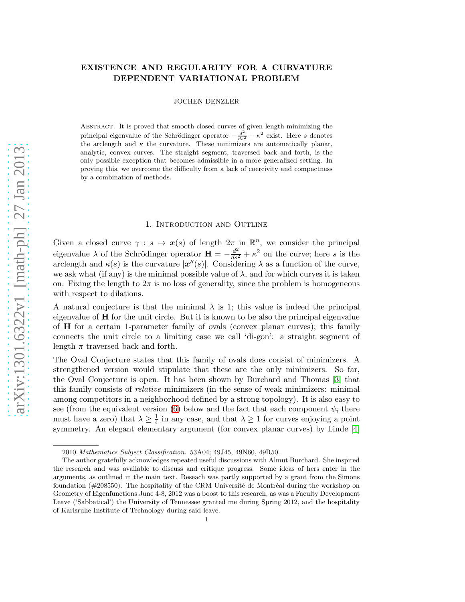# EXISTENCE AND REGULARITY FOR A CURVATURE DEPENDENT VARIATIONAL PROBLEM

JOCHEN DENZLER

Abstract. It is proved that smooth closed curves of given length minimizing the principal eigenvalue of the Schrödinger operator  $-\frac{d^2}{ds^2} + \kappa^2$  exist. Here s denotes the arclength and  $\kappa$  the curvature. These minimizers are automatically planar, analytic, convex curves. The straight segment, traversed back and forth, is the only possible exception that becomes admissible in a more generalized setting. In proving this, we overcome the difficulty from a lack of coercivity and compactness by a combination of methods.

#### 1. Introduction and Outline

Given a closed curve  $\gamma : s \mapsto x(s)$  of length  $2\pi \text{ in } \mathbb{R}^n$ , we consider the principal eigenvalue  $\lambda$  of the Schrödinger operator  $\mathbf{H} = -\frac{d^2}{ds^2} + \kappa^2$  on the curve; here s is the arclength and  $\kappa(s)$  is the curvature  $|\mathbf{x}''(s)|$ . Considering  $\lambda$  as a function of the curve, we ask what (if any) is the minimal possible value of  $\lambda$ , and for which curves it is taken on. Fixing the length to  $2\pi$  is no loss of generality, since the problem is homogeneous with respect to dilations.

A natural conjecture is that the minimal  $\lambda$  is 1; this value is indeed the principal eigenvalue of H for the unit circle. But it is known to be also the principal eigenvalue of H for a certain 1-parameter family of ovals (convex planar curves); this family connects the unit circle to a limiting case we call 'di-gon': a straight segment of length  $\pi$  traversed back and forth.

The Oval Conjecture states that this family of ovals does consist of minimizers. A strengthened version would stipulate that these are the only minimizers. So far, the Oval Conjecture is open. It has been shown by Burchard and Thomas [\[3\]](#page-16-0) that this family consists of *relative* minimizers (in the sense of weak minimizers: minimal among competitors in a neighborhood defined by a strong topology). It is also easy to see (from the equivalent version [\(6\)](#page-3-0) below and the fact that each component  $\psi_i$  there must have a zero) that  $\lambda \geq \frac{1}{4}$  $\frac{1}{4}$  in any case, and that  $\lambda \geq 1$  for curves enjoying a point symmetry. An elegant elementary argument (for convex planar curves) by Linde [\[4\]](#page-17-0)

<sup>2010</sup> Mathematics Subject Classification. 53A04; 49J45, 49N60, 49R50.

The author gratefully acknowledges repeated useful discussions with Almut Burchard. She inspired the research and was available to discuss and critique progress. Some ideas of hers enter in the arguments, as outlined in the main text. Reseach was partly supported by a grant from the Simons foundation  $(\text{\#208550}).$  The hospitality of the CRM Université de Montréal during the workshop on Geometry of Eigenfunctions June 4-8, 2012 was a boost to this research, as was a Faculty Development Leave ('Sabbatical') the University of Tennessee granted me during Spring 2012, and the hospitality of Karlsruhe Institute of Technology during said leave.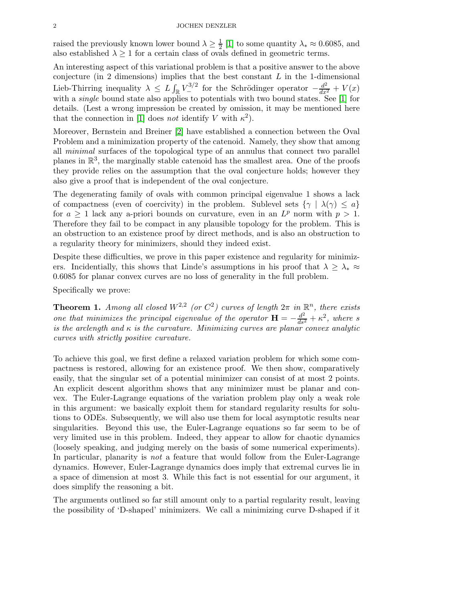raised the previously known lower bound  $\lambda \geq \frac{1}{2}$  $\frac{1}{2}$  [\[1\]](#page-16-1) to some quantity  $\lambda_* \approx 0.6085$ , and also established  $\lambda \geq 1$  for a certain class of ovals defined in geometric terms.

An interesting aspect of this variational problem is that a positive answer to the above conjecture (in 2 dimensions) implies that the best constant  $L$  in the 1-dimensional Lieb-Thirring inequality  $\lambda \leq L \int_{\mathbb{R}} V_{-}^{3/2}$  for the Schrödinger operator  $-\frac{d^2}{dx^2} + V(x)$ with a *single* bound state also applies to potentials with two bound states. See [\[1\]](#page-16-1) for details. (Lest a wrong impression be created by omission, it may be mentioned here that the connection in [\[1\]](#page-16-1) does *not* identify V with  $\kappa^2$ ).

Moreover, Bernstein and Breiner [\[2\]](#page-16-2) have established a connection between the Oval Problem and a minimization property of the catenoid. Namely, they show that among all *minimal* surfaces of the topological type of an annulus that connect two parallel planes in  $\mathbb{R}^3$ , the marginally stable catenoid has the smallest area. One of the proofs they provide relies on the assumption that the oval conjecture holds; however they also give a proof that is independent of the oval conjecture.

The degenerating family of ovals with common principal eigenvalue 1 shows a lack of compactness (even of coercivity) in the problem. Sublevel sets  $\{\gamma \mid \lambda(\gamma) \leq a\}$ for  $a \geq 1$  lack any a-priori bounds on curvature, even in an  $L^p$  norm with  $p > 1$ . Therefore they fail to be compact in any plausible topology for the problem. This is an obstruction to an existence proof by direct methods, and is also an obstruction to a regularity theory for minimizers, should they indeed exist.

Despite these difficulties, we prove in this paper existence and regularity for minimizers. Incidentially, this shows that Linde's assumptions in his proof that  $\lambda \geq \lambda_* \approx$ 0.6085 for planar convex curves are no loss of generality in the full problem.

Specifically we prove:

**Theorem 1.** Among all closed  $W^{2,2}$  (or  $C^2$ ) curves of length  $2\pi$  in  $\mathbb{R}^n$ , there exists *one that minimizes the principal eigenvalue of the operator*  $\mathbf{H} = -\frac{d^2}{ds^2} + \kappa^2$ , where s *is the arclength and* κ *is the curvature. Minimizing curves are planar convex analytic curves with strictly positive curvature.*

To achieve this goal, we first define a relaxed variation problem for which some compactness is restored, allowing for an existence proof. We then show, comparatively easily, that the singular set of a potential minimizer can consist of at most 2 points. An explicit descent algorithm shows that any minimizer must be planar and convex. The Euler-Lagrange equations of the variation problem play only a weak role in this argument: we basically exploit them for standard regularity results for solutions to ODEs. Subsequently, we will also use them for local asymptotic results near singularities. Beyond this use, the Euler-Lagrange equations so far seem to be of very limited use in this problem. Indeed, they appear to allow for chaotic dynamics (loosely speaking, and judging merely on the basis of some numerical experiments). In particular, planarity is *not* a feature that would follow from the Euler-Lagrange dynamics. However, Euler-Lagrange dynamics does imply that extremal curves lie in a space of dimension at most 3. While this fact is not essential for our argument, it does simplify the reasoning a bit.

The arguments outlined so far still amount only to a partial regularity result, leaving the possibility of 'D-shaped' minimizers. We call a minimizing curve D-shaped if it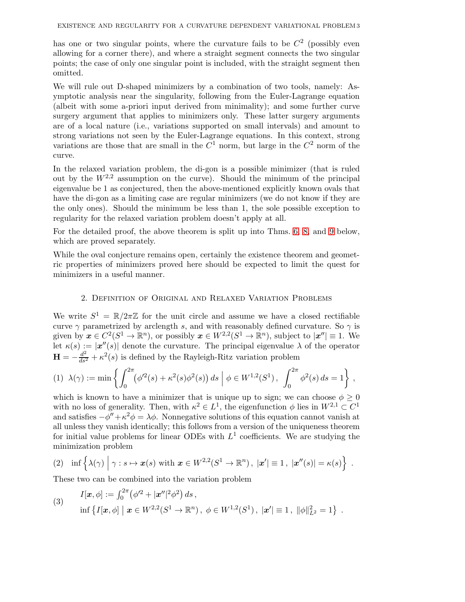has one or two singular points, where the curvature fails to be  $C<sup>2</sup>$  (possibly even allowing for a corner there), and where a straight segment connects the two singular points; the case of only one singular point is included, with the straight segment then omitted.

We will rule out D-shaped minimizers by a combination of two tools, namely: Asymptotic analysis near the singularity, following from the Euler-Lagrange equation (albeit with some a-priori input derived from minimality); and some further curve surgery argument that applies to minimizers only. These latter surgery arguments are of a local nature (i.e., variations supported on small intervals) and amount to strong variations not seen by the Euler-Lagrange equations. In this context, strong variations are those that are small in the  $C^1$  norm, but large in the  $C^2$  norm of the curve.

In the relaxed variation problem, the di-gon is a possible minimizer (that is ruled out by the  $W^{2,2}$  assumption on the curve). Should the minimum of the principal eigenvalue be 1 as conjectured, then the above-mentioned explicitly known ovals that have the di-gon as a limiting case are regular minimizers (we do not know if they are the only ones). Should the minimum be less than 1, the sole possible exception to regularity for the relaxed variation problem doesn't apply at all.

For the detailed proof, the above theorem is split up into Thms. [6,](#page-5-0) [8,](#page-5-1) and [9](#page-5-2) below, which are proved separately.

While the oval conjecture remains open, certainly the existence theorem and geometric properties of minimizers proved here should be expected to limit the quest for minimizers in a useful manner.

## 2. Definition of Original and Relaxed Variation Problems

We write  $S^1 = \mathbb{R}/2\pi\mathbb{Z}$  for the unit circle and assume we have a closed rectifiable curve  $\gamma$  parametrized by arclength s, and with reasonably defined curvature. So  $\gamma$  is given by  $\mathbf{x} \in C^2(S^1 \to \mathbb{R}^n)$ , or possibly  $\mathbf{x} \in W^{2,2}(S^1 \to \mathbb{R}^n)$ , subject to  $|\mathbf{x}''| \equiv 1$ . We let  $\kappa(s) := |\mathbf{x}''(s)|$  denote the curvature. The principal eigenvalue  $\lambda$  of the operator  $\mathbf{H} = -\frac{d^2}{ds^2} + \kappa^2(s)$  is defined by the Rayleigh-Ritz variation problem

$$
(1) \ \lambda(\gamma) := \min\left\{ \int_0^{2\pi} (\phi'^2(s) + \kappa^2(s)\phi^2(s)) \, ds \; \Big| \; \phi \in W^{1,2}(S^1) \,, \int_0^{2\pi} \phi^2(s) \, ds = 1 \right\} \,,
$$

which is known to have a minimizer that is unique up to sign; we can choose  $\phi \geq 0$ with no loss of generality. Then, with  $\kappa^2 \in L^1$ , the eigenfunction  $\phi$  lies in  $W^{2,1} \subset C^1$ and satisfies  $-\phi'' + \kappa^2 \phi = \lambda \phi$ . Nonnegative solutions of this equation cannot vanish at all unless they vanish identically; this follows from a version of the uniqueness theorem for initial value problems for linear ODEs with  $L^1$  coefficients. We are studying the minimization problem

$$
(2) \quad \inf\left\{\lambda(\gamma) \middle| \gamma : s \mapsto x(s) \text{ with } x \in W^{2,2}(S^1 \to \mathbb{R}^n), \ |x'| \equiv 1, \ |x''(s)| = \kappa(s)\right\}.
$$

These two can be combined into the variation problem

<span id="page-2-0"></span>(3) 
$$
I[\mathbf{x}, \phi] := \int_0^{2\pi} (\phi'^2 + |\mathbf{x}''|^2 \phi^2) ds,
$$
  
 
$$
\inf \{ I[\mathbf{x}, \phi] \mid \mathbf{x} \in W^{2,2}(S^1 \to \mathbb{R}^n), \ \phi \in W^{1,2}(S^1), \ |\mathbf{x}'| \equiv 1, \ \|\phi\|_{L^2}^2 = 1 \}.
$$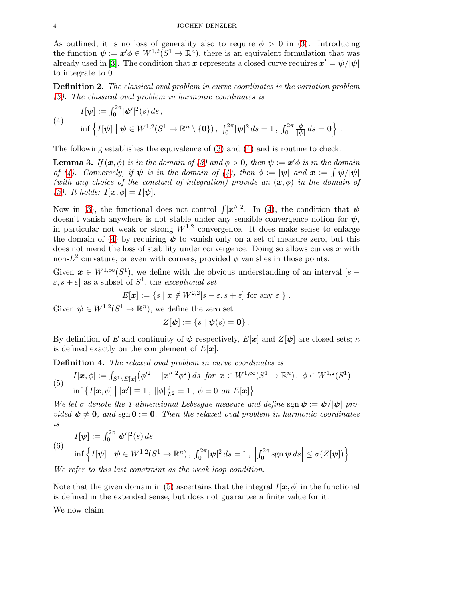As outlined, it is no loss of generality also to require  $\phi > 0$  in [\(3\)](#page-2-0). Introducing the function  $\psi := \mathbf{x}' \phi \in W^{1,2}(S^1 \to \mathbb{R}^n)$ , there is an equivalent formulation that was already used in [\[3\]](#page-16-0). The condition that  $\bm{x}$  represents a closed curve requires  $\bm{x}' = \bm{\psi}/|\bm{\psi}|$ to integrate to 0.

Definition 2. *The classical oval problem in curve coordinates is the variation problem [\(3\)](#page-2-0). The classical oval problem in harmonic coordinates is*

.

<span id="page-3-1"></span>(4) 
$$
I[\psi] := \int_0^{2\pi} |\psi'|^2(s) ds,
$$
  
\n
$$
\inf \left\{ I[\psi] \mid \psi \in W^{1,2}(S^1 \to \mathbb{R}^n \setminus \{0\}), \int_0^{2\pi} |\psi|^2 ds = 1, \int_0^{2\pi} \frac{\psi}{|\psi|} ds = 0 \right\}
$$

The following establishes the equivalence of [\(3\)](#page-2-0) and [\(4\)](#page-3-1) and is routine to check:

<span id="page-3-3"></span>**Lemma 3.** *If*  $(\mathbf{x}, \phi)$  *is in the domain of* [\(3\)](#page-2-0) and  $\phi > 0$ , then  $\psi := \mathbf{x}'\phi$  *is in the domain of* [\(4\)](#page-3-1). Conversely, if  $\psi$  is in the domain of (4), then  $\phi := |\psi|$  and  $x := \int \psi/|\psi|$ *(with any choice of the constant of integration) provide an*  $(x, \phi)$  *in the domain of [\(3\)](#page-2-0). It holds:*  $I[\mathbf{x}, \phi] = I[\psi]$ *.* 

Now in [\(3\)](#page-2-0), the functional does not control  $\int |x''|^2$ . In [\(4\)](#page-3-1), the condition that  $\psi$ doesn't vanish anywhere is not stable under any sensible convergence notion for  $\psi$ , in particular not weak or strong  $W^{1,2}$  convergence. It does make sense to enlarge the domain of [\(4\)](#page-3-1) by requiring  $\psi$  to vanish only on a set of measure zero, but this does not mend the loss of stability under convergence. Doing so allows curves  $x$  with non- $L^2$  curvature, or even with corners, provided  $\phi$  vanishes in those points.

Given  $x \in W^{1,\infty}(S^1)$ , we define with the obvious understanding of an interval [s –  $[\varepsilon, s + \varepsilon]$  as a subset of  $S^1$ , the *exceptional set* 

$$
E[\boldsymbol{x}] := \{ s \mid \boldsymbol{x} \notin W^{2,2}[s-\varepsilon,s+\varepsilon] \text{ for any } \varepsilon \}.
$$

Given  $\psi \in W^{1,2}(S^1 \to \mathbb{R}^n)$ , we define the zero set

$$
Z[\psi] := \{s \mid \psi(s) = \mathbf{0}\}.
$$

By definition of E and continuity of  $\psi$  respectively,  $E[\mathbf{x}]$  and  $Z[\psi]$  are closed sets;  $\kappa$ is defined exactly on the complement of  $E[\mathbf{x}]$ .

Definition 4. *The relaxed oval problem in curve coordinates is*

<span id="page-3-2"></span>(5) 
$$
I[\mathbf{x}, \phi] := \int_{S^1 \setminus E[\mathbf{x}]} (\phi'^2 + |\mathbf{x}''|^2 \phi^2) ds \text{ for } \mathbf{x} \in W^{1,\infty}(S^1 \to \mathbb{R}^n), \ \phi \in W^{1,2}(S^1)
$$
  
inf  $\{I[\mathbf{x}, \phi] \mid |\mathbf{x}'| \equiv 1, \ \|\phi\|_{L^2}^2 = 1, \ \phi = 0 \text{ on } E[\mathbf{x}]\}.$ 

*We let*  $\sigma$  *denote the 1-dimensional Lebesgue measure and define* sgn  $\psi := \psi/|\psi|$  *provided*  $\psi \neq 0$ , and sgn  $0 := 0$ . Then the relaxed oval problem in harmonic coordinates *is*

<span id="page-3-0"></span>(6) 
$$
I[\psi] := \int_0^{2\pi} |\psi'|^2(s) ds
$$
  
 
$$
\inf \left\{ I[\psi] \mid \psi \in W^{1,2}(S^1 \to \mathbb{R}^n), \int_0^{2\pi} |\psi|^2 ds = 1, \left| \int_0^{2\pi} \text{sgn } \psi ds \right| \le \sigma(Z[\psi]) \right\}
$$

*We refer to this last constraint as the weak loop condition.*

Note that the given domain in [\(5\)](#page-3-2) ascertains that the integral  $I[\mathbf{x}, \phi]$  in the functional is defined in the extended sense, but does not guarantee a finite value for it.

We now claim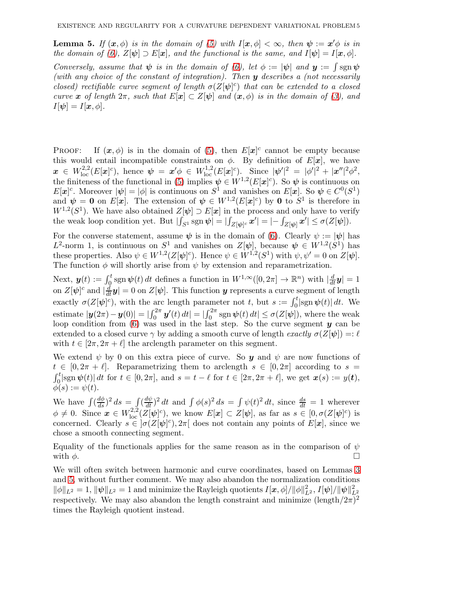<span id="page-4-0"></span>**Lemma 5.** *If*  $(x, \phi)$  *is in the domain of* [\(5\)](#page-3-2) *with*  $I[x, \phi] < \infty$ *, then*  $\psi := x' \phi$  *is in the domain of* [\(6\)](#page-3-0),  $Z[\psi] \supset E[\mathbf{x}]$ *, and the functional is the same, and*  $I[\psi] = I[\mathbf{x}, \phi]$ *. Conversely, assume that*  $\psi$  *is in the domain of* [\(6\)](#page-3-0), let  $\phi := |\psi|$  *and*  $y := \int \text{sgn } \psi$ *(with any choice of the constant of integration). Then* y *describes a (not necessarily closed) rectifiable curve segment of length*  $\sigma(Z[\psi]^c)$  *that can be extended to a closed* 

*curve* x of length  $2\pi$ , such that  $E[x] \subset Z[\psi]$  and  $(x, \phi)$  is in the domain of [\(3\)](#page-2-0), and  $I[\psi] = I[x, \phi]$ .

**PROOF:** If  $(x, \phi)$  is in the domain of [\(5\)](#page-3-2), then  $E[x]$ <sup>c</sup> cannot be empty because this would entail incompatible constraints on  $\phi$ . By definition of  $E[\mathbf{x}]$ , we have  $\bm{x} \in W^{2,2}_{\mathrm{loc}}(E[\bm{x}]^c)$ , hence  $\bm{\psi} \,=\, \bm{x}'\phi \,\in\, W^{1,2}_{\mathrm{loc}}(E[\bm{x}]^c)$ . Since  $|\bm{\psi}'|^2 \,=\, |\phi'|^2 \,+\, |\bm{x}''|^2 \phi^2$ , the finiteness of the functional in [\(5\)](#page-3-2) implies  $\psi \in W^{1,2}(E[\mathbf{x}]^c)$ . So  $\psi$  is continuous on  $E[\boldsymbol{x}]^c$ . Moreover  $|\boldsymbol{\psi}| = |\phi|$  is continuous on  $S^1$  and vanishes on  $E[\boldsymbol{x}]$ . So  $\boldsymbol{\psi} \in C^0(S^1)$ and  $\psi = \mathbf{0}$  on  $E[\mathbf{x}]$ . The extension of  $\psi \in W^{1,2}(E[\mathbf{x}]^c)$  by  $\mathbf{0}$  to  $S^1$  is therefore in  $W^{1,2}(S^1)$ . We have also obtained  $Z[\psi] \supset E[\mathbf{x}]$  in the process and only have to verify the weak loop condition yet. But  $|\int_{S^1} \text{sgn }\psi| = |\int_{Z[\psi]^c} x'| = |- \int_{Z[\psi]} x'| \le \sigma(Z[\psi]).$ 

For the converse statement, assume  $\psi$  is in the domain of [\(6\)](#page-3-0). Clearly  $\psi := |\psi|$  has L<sup>2</sup>-norm 1, is continuous on  $S^1$  and vanishes on  $Z[\psi]$ , because  $\psi \in W^{1,2}(S^1)$  has these properties. Also  $\psi \in W^{1,2}(Z[\psi]^c)$ . Hence  $\psi \in W^{1,2}(S^1)$  with  $\psi, \psi' = 0$  on  $Z[\psi]$ . The function  $\phi$  will shortly arise from  $\psi$  by extension and reparametrization.

Next,  $y(t) := \int_0^t \operatorname{sgn} \psi(t) dt$  defines a function in  $W^{1,\infty}([0, 2\pi] \to \mathbb{R}^n)$  with  $\left| \frac{d}{dt} y \right| = 1$ on  $Z[\psi]^{c}$  and  $|\frac{d}{dt}y| = 0$  on  $Z[\psi]$ . This function y represents a curve segment of length exactly  $\sigma(Z[\psi]^{c})$ , with the arc length parameter not t, but  $s := \int_0^t |sgn \psi(t)| dt$ . We estimate  $|\boldsymbol{y}(2\pi) - \boldsymbol{y}(0)| = |\int_0^{2\pi} \boldsymbol{y}'(t) dt| = |\int_0^{2\pi} \text{sgn} \psi(t) dt| \le \sigma(Z[\psi])$ , where the weak loop condition from [\(6\)](#page-3-0) was used in the last step. So the curve segment  $y$  can be extended to a closed curve  $\gamma$  by adding a smooth curve of length *exactly*  $\sigma(Z[\psi]) =: \ell$ with  $t \in [2\pi, 2\pi + \ell]$  the arclength parameter on this segment.

We extend  $\psi$  by 0 on this extra piece of curve. So y and  $\psi$  are now functions of  $t \in [0, 2\pi + \ell]$ . Reparametrizing them to arclength  $s \in [0, 2\pi]$  according to  $s =$ <br> $\int_0^t |\text{sgn}\,\psi(t)| dt$  for  $t \in [0, 2\pi]$ , and  $s = t - \ell$  for  $t \in [2\pi, 2\pi + \ell]$ , we get  $\bm{x}(s) := y(\bm{t})$ ,  $\phi(s) := \psi(t).$ 

We have  $\int (\frac{d\phi}{ds})^2 ds = \int (\frac{d\psi}{dt})^2 dt$  and  $\int \phi(s)^2 ds = \int \psi(t)^2 dt$ , since  $\frac{ds}{dt} = 1$  wherever  $\phi \neq 0$ . Since  $\mathbf{x} \in W^{2,2}_{\text{loc}}(\mathbb{Z}[\psi]^c)$ , we know  $E[\mathbf{x}] \subset \mathbb{Z}[\psi]$ , as far as  $s \in [0, \sigma(\mathbb{Z}[\psi]^c)$  is concerned. Clearly  $s \in \sigma(Z[\psi]^c)$ ,  $2\pi$  does not contain any points of  $E[\mathbf{x}]$ , since we chose a smooth connecting segment.

Equality of the functionals applies for the same reason as in the comparison of  $\psi$ with  $\phi$ .

We will often switch between harmonic and curve coordinates, based on Lemmas [3](#page-3-3) and [5,](#page-4-0) without further comment. We may also abandon the normalization conditions  $\|\phi\|_{L^2} = 1, \|\pmb{\psi}\|_{L^2} = 1$  and minimize the Rayleigh quotients  $I[\pmb{x},\phi]/\|\phi\|_{L^2}^2, I[\pmb{\psi}]/\|\pmb{\psi}\|_{L^2}^2$ respectively. We may also abandon the length constraint and minimize  $(\text{length}/2\pi)^2$ times the Rayleigh quotient instead.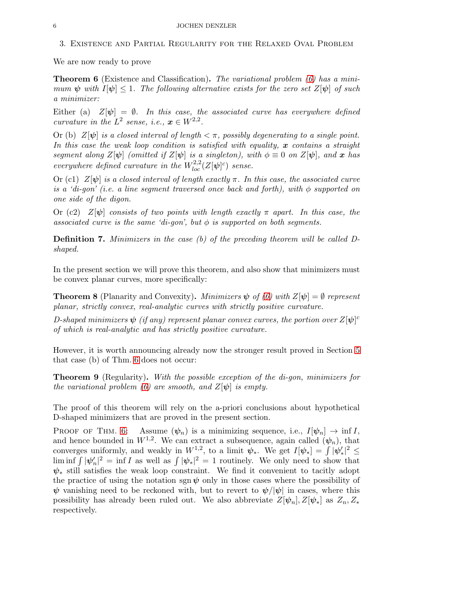We are now ready to prove

<span id="page-5-0"></span>Theorem 6 (Existence and Classification). *The variational problem [\(6\)](#page-3-0) has a minimum*  $\psi$  *with*  $I[\psi] \leq 1$ . The following alternative exists for the zero set  $Z[\psi]$  of such *a minimizer:*

Either (a)  $Z[\psi] = \emptyset$ *. In this case, the associated curve has everywhere defined curvature in the*  $L^2$  *sense, i.e.,*  $\mathbf{x} \in W^{2,2}$ *.* 

Or (b)  $Z[\psi]$  *is a closed interval of length*  $\lt \pi$ *, possibly degenerating to a single point.* In this case the weak loop condition is satisfied with equality, x contains a straight *segment along*  $Z[\psi]$  *(omitted if*  $Z[\psi]$  *is a singleton), with*  $\phi \equiv 0$  *on*  $Z[\psi]$ *, and* x *has everywhere defined curvature in the*  $W^{2,2}_{loc}(Z[\psi]^c)$  *sense.* 

Or (c1) Z[ψ] *is a closed interval of length exactly* π*. In this case, the associated curve is a 'di-gon' (i.e. a line segment traversed once back and forth), with* φ *supported on one side of the digon.*

Or (c2)  $Z[\psi]$  *consists of two points with length exactly*  $\pi$  *apart.* In this case, the *associated curve is the same 'di-gon', but*  $\phi$  *is supported on both segments.* 

Definition 7. *Minimizers in the case (b) of the preceding theorem will be called Dshaped.*

In the present section we will prove this theorem, and also show that minimizers must be convex planar curves, more specifically:

<span id="page-5-1"></span>**Theorem 8** (Planarity and Convexity). *Minimizers*  $\psi$  *of* [\(6\)](#page-3-0) with  $Z[\psi] = \emptyset$  represent *planar, strictly convex, real-analytic curves with strictly positive curvature.*

*D-shaped minimizers*  $\psi$  *(if any) represent planar convex curves, the portion over*  $Z[\psi]$ <sup>c</sup> *of which is real-analytic and has strictly positive curvature.*

However, it is worth announcing already now the stronger result proved in Section [5](#page-15-0) that case (b) of Thm. [6](#page-5-0) does not occur:

<span id="page-5-2"></span>Theorem 9 (Regularity). *With the possible exception of the di-gon, minimizers for the variational problem* [\(6\)](#page-3-0) are smooth, and  $Z[\psi]$  *is empty.* 

The proof of this theorem will rely on the a-priori conclusions about hypothetical D-shaped minimizers that are proved in the present section.

PROOF OF THM. [6:](#page-5-0) Assume  $(\psi_n)$  is a minimizing sequence, i.e.,  $I[\psi_n] \to \inf I$ , and hence bounded in  $W^{1,2}$ . We can extract a subsequence, again called  $(\psi_n)$ , that converges uniformly, and weakly in  $W^{1,2}$ , to a limit  $\psi_*$ . We get  $I[\psi_*] = \int |\psi_*|^2 \leq$  $\liminf_{n \to \infty} |\psi'_n|^2 = \inf I$  as well as  $\int |\psi_*|^2 = 1$  routinely. We only need to show that  $\psi_*$  still satisfies the weak loop constraint. We find it convenient to tacitly adopt the practice of using the notation sgn  $\psi$  only in those cases where the possibility of  $\psi$  vanishing need to be reckoned with, but to revert to  $\psi/|\psi|$  in cases, where this possibility has already been ruled out. We also abbreviate  $Z[\psi_n], Z[\psi_*]$  as  $Z_n, Z_*$ respectively.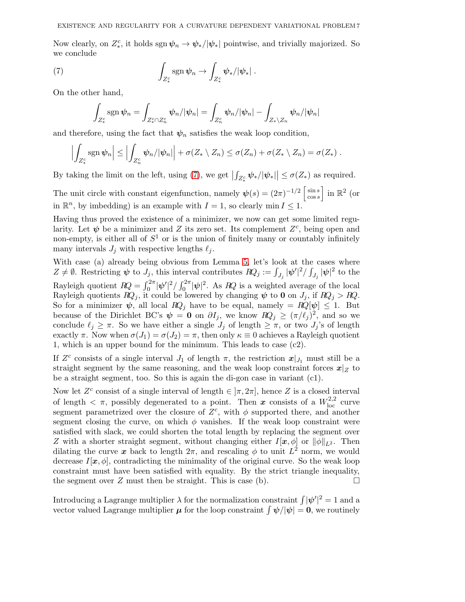Now clearly, on  $Z_*^c$ , it holds  $\text{sgn}\,\psi_n \to \psi_*/|\psi_*|$  pointwise, and trivially majorized. So we conclude

(7) 
$$
\int_{Z_*^c} \operatorname{sgn} \psi_n \to \int_{Z_*^c} \psi_* / |\psi_*|.
$$

On the other hand,

<span id="page-6-0"></span>
$$
\int_{Z_*^c} \operatorname{sgn} \psi_n = \int_{Z_*^c \cap Z_n^c} \psi_n / |\psi_n| = \int_{Z_n^c} \psi_n / |\psi_n| - \int_{Z_* \setminus Z_n} \psi_n / |\psi_n|
$$

and therefore, using the fact that  $\psi_n$  satisfies the weak loop condition,

$$
\left|\int_{Z_*^c} \operatorname{sgn} \psi_n\right| \leq \left|\int_{Z_n^c} \psi_n/|\psi_n|\right| + \sigma(Z_* \setminus Z_n) \leq \sigma(Z_n) + \sigma(Z_* \setminus Z_n) = \sigma(Z_*) .
$$

By taking the limit on the left, using [\(7\)](#page-6-0), we get  $\left| \int_{Z_*^c} \psi_* / |\psi_*| \right| \leq \sigma(Z_*)$  as required.

The unit circle with constant eigenfunction, namely  $\psi(s) = (2\pi)^{-1/2} \begin{bmatrix} \sin s \\ \cos s \end{bmatrix}$  $\left[\begin{array}{c}\sin s\\ \cos s\end{array}\right]$  in  $\mathbb{R}^2$  (or in  $\mathbb{R}^n$ , by imbedding) is an example with  $I = 1$ , so clearly min  $I \leq 1$ .

Having thus proved the existence of a minimizer, we now can get some limited regularity. Let  $\psi$  be a minimizer and Z its zero set. Its complement  $Z<sup>c</sup>$ , being open and non-empty, is either all of  $S^1$  or is the union of finitely many or countably infinitely many intervals  $J_i$  with respective lengths  $\ell_i$ .

With case (a) already being obvious from Lemma [5,](#page-4-0) let's look at the cases where  $Z \neq \emptyset$ . Restricting  $\psi$  to  $J_j$ , this interval contributes  $RQ_j := \int_{J_j} |\psi'|^2 / \int_{J_j} |\psi|^2$  to the Rayleigh quotient  $RQ = \int_0^{2\pi} |\psi'|^2 / \int_0^{2\pi} |\psi|^2$ . As  $RQ$  is a weighted average of the local Rayleigh quotients  $RQ_i$ , it could be lowered by changing  $\psi$  to 0 on  $J_j$ , if  $RQ_j > RQ$ . So for a minimizer  $\psi$ , all local  $RQ_i$  have to be equal, namely =  $RQ[\psi] \leq 1$ . But because of the Dirichlet BC's  $\psi = \mathbf{0}$  on  $\partial I_j$ , we know  $RQ_j \geq (\pi/\ell_j)^2$ , and so we conclude  $\ell_j \geq \pi$ . So we have either a single  $J_j$  of length  $\geq \pi$ , or two  $J_j$ 's of length exactly  $\pi$ . Now when  $\sigma(J_1) = \sigma(J_2) = \pi$ , then only  $\kappa \equiv 0$  achieves a Rayleigh quotient 1, which is an upper bound for the minimum. This leads to case (c2).

If  $Z<sup>c</sup>$  consists of a single interval  $J_1$  of length  $\pi$ , the restriction  $x|_{J_1}$  must still be a straight segment by the same reasoning, and the weak loop constraint forces  $x|_Z$  to be a straight segment, too. So this is again the di-gon case in variant (c1).

Now let  $Z^c$  consist of a single interval of length  $\in [\pi, 2\pi]$ , hence Z is a closed interval of length  $\lt \pi$ , possibly degenerated to a point. Then  $\boldsymbol{x}$  consists of a  $W^{2,2}_{loc}$  curve segment parametrized over the closure of  $Z<sup>c</sup>$ , with  $\phi$  supported there, and another segment closing the curve, on which  $\phi$  vanishes. If the weak loop constraint were satisfied with slack, we could shorten the total length by replacing the segment over Z with a shorter straight segment, without changing either  $I[\mathbf{x}, \phi]$  or  $\|\phi\|_{L^2}$ . Then dilating the curve x back to length  $2\pi$ , and rescaling  $\phi$  to unit  $L^2$  norm, we would decrease  $I[\mathbf{x}, \phi]$ , contradicting the minimality of the original curve. So the weak loop constraint must have been satisfied with equality. By the strict triangle inequality, the segment over Z must then be straight. This is case (b).  $\Box$ 

Introducing a Lagrange multiplier  $\lambda$  for the normalization constraint  $\int |\psi'|^2 = 1$  and a vector valued Lagrange multiplier  $\mu$  for the loop constraint  $\int \psi/|\psi| = 0$ , we routinely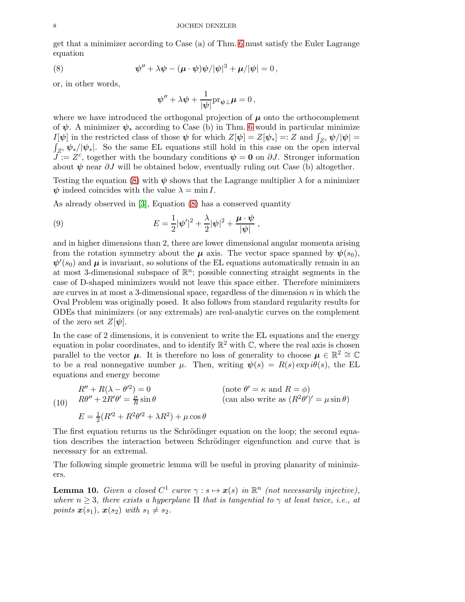get that a minimizer according to Case (a) of Thm. [6](#page-5-0) must satisfy the Euler Lagrange equation

(8) 
$$
\psi'' + \lambda \psi - (\mu \cdot \psi) \psi / |\psi|^3 + \mu / |\psi| = 0,
$$

or, in other words,

<span id="page-7-0"></span>
$$
\psi'' + \lambda \psi + \frac{1}{|\psi|} \mathrm{pr}_{\psi \perp} \mu = 0,
$$

where we have introduced the orthogonal projection of  $\mu$  onto the orthocomplement of  $\psi$ . A minimizer  $\psi_*$  according to Case (b) in Thm. [6](#page-5-0) would in particular minimize  $I[\psi]$  in the restricted class of those  $\psi$  for which  $Z[\psi] = Z[\psi_*] =: Z$  and  $\int_{Z^c} \psi / |\psi| =$  $I[\psi]$  in the restricted class of those  $\psi$  for which  $Z[\psi] = Z[\psi_*] = Z$  and  $\int_{Z^c} \psi/|\psi| = \int_{Z^c} \psi_*/|\psi_*|$ . So the same EL equations still hold in this case on the open interval  $J = Z<sup>c</sup>$ , together with the boundary conditions  $\psi = 0$  on  $\partial J$ . Stronger information about  $\psi$  near  $\partial J$  will be obtained below, eventually ruling out Case (b) altogether.

Testing the equation [\(8\)](#page-7-0) with  $\psi$  shows that the Lagrange multiplier  $\lambda$  for a minimizer  $\psi$  indeed coincides with the value  $\lambda = \min I$ .

As already observed in [\[3\]](#page-16-0), Equation [\(8\)](#page-7-0) has a conserved quantity

(9) 
$$
E = \frac{1}{2} |\psi'|^2 + \frac{\lambda}{2} |\psi|^2 + \frac{\mu \cdot \psi}{|\psi|},
$$

and in higher dimensions than 2, there are lower dimensional angular momenta arising from the rotation symmetry about the  $\mu$  axis. The vector space spanned by  $\psi(s_0)$ ,  $\psi'(s_0)$  and  $\mu$  is invariant, so solutions of the EL equations automatically remain in an at most 3-dimensional subspace of  $\mathbb{R}^n$ ; possible connecting straight segments in the case of D-shaped minimizers would not leave this space either. Therefore minimizers are curves in at most a 3-dimensional space, regardless of the dimension  $n$  in which the Oval Problem was originally posed. It also follows from standard regularity results for ODEs that minimizers (or any extremals) are real-analytic curves on the complement of the zero set  $Z[\psi]$ .

In the case of 2 dimensions, it is convenient to write the EL equations and the energy equation in polar coordinates, and to identify  $\mathbb{R}^2$  with  $\mathbb{C}$ , where the real axis is chosen parallel to the vector  $\mu$ . It is therefore no loss of generality to choose  $\mu \in \mathbb{R}^2 \cong \mathbb{C}$ to be a real nonnegative number  $\mu$ . Then, writing  $\psi(s) = R(s) \exp i\theta(s)$ , the EL equations and energy become

<span id="page-7-2"></span>(10)  $R'' + R(\lambda - \theta'^2)$  $($ note  $\theta' = \kappa$  and  $R = \phi)$  $R\theta'' + 2R'\theta' = \frac{\mu}{R}$ R  $\sin \theta$  (can also write as  $(R^2 \theta')' = \mu \sin \theta$ )  $E = \frac{1}{2}$  $\frac{1}{2}(R^2 + R^2\theta^2 + \lambda R^2) + \mu \cos \theta$ 

The first equation returns us the Schrödinger equation on the loop; the second equation describes the interaction between Schrödinger eigenfunction and curve that is necessary for an extremal.

The following simple geometric lemma will be useful in proving planarity of minimizers.

<span id="page-7-1"></span>**Lemma 10.** *Given a closed*  $C^1$  *curve*  $\gamma : s \mapsto \mathbf{x}(s)$  *in*  $\mathbb{R}^n$  *(not necessarily injective), where*  $n \geq 3$ *, there exists a hyperplane*  $\Pi$  *that is tangential to*  $\gamma$  *at least twice, i.e., at points*  $\mathbf{x}(s_1)$ *,*  $\mathbf{x}(s_2)$  *with*  $s_1 \neq s_2$ *.*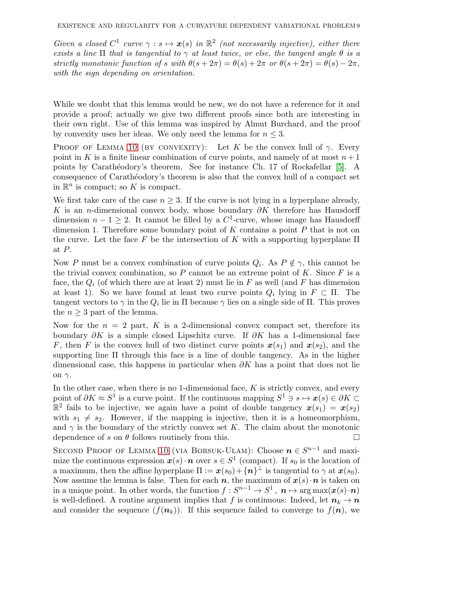*Given a closed*  $C^1$  *curve*  $\gamma : s \mapsto x(s)$  *in*  $\mathbb{R}^2$  *(not necessarily injective), either there exists a line*  $\Pi$  *that is tangential to*  $\gamma$  *at least twice, or else, the tangent angle*  $\theta$  *is a strictly monotonic function of s with*  $\theta(s + 2\pi) = \theta(s) + 2\pi$  *or*  $\theta(s + 2\pi) = \theta(s) - 2\pi$ , *with the sign depending on orientation.*

While we doubt that this lemma would be new, we do not have a reference for it and provide a proof; actually we give two different proofs since both are interesting in their own right. Use of this lemma was inspired by Almut Burchard, and the proof by convexity uses her ideas. We only need the lemma for  $n \leq 3$ .

PROOF OF LEMMA [10](#page-7-1) (BY CONVEXITY): Let K be the convex hull of  $\gamma$ . Every point in K is a finite linear combination of curve points, and namely of at most  $n+1$ points by Carathéodory's theorem. See for instance Ch. 17 of Rockafellar [\[5\]](#page-17-1). A consequence of Caratheodory's theorem is also that the convex hull of a compact set in  $\mathbb{R}^n$  is compact; so K is compact.

We first take care of the case  $n \geq 3$ . If the curve is not lying in a hyperplane already, K is an n-dimensional convex body, whose boundary  $\partial K$  therefore has Hausdorff dimension  $n-1 \geq 2$ . It cannot be filled by a C<sup>1</sup>-curve, whose image has Hausdorff dimension 1. Therefore some boundary point of  $K$  contains a point  $P$  that is not on the curve. Let the face F be the intersection of K with a supporting hyperplane  $\Pi$ at P.

Now P must be a convex combination of curve points  $Q_i$ . As  $P \notin \gamma$ , this cannot be the trivial convex combination, so  $P$  cannot be an extreme point of  $K$ . Since  $F$  is a face, the  $Q_i$  (of which there are at least 2) must lie in F as well (and F has dimension at least 1). So we have found at least two curve points  $Q_i$  lying in  $F \subset \Pi$ . The tangent vectors to  $\gamma$  in the  $Q_i$  lie in  $\Pi$  because  $\gamma$  lies on a single side of  $\Pi$ . This proves the  $n \geq 3$  part of the lemma.

Now for the  $n = 2$  part, K is a 2-dimensional convex compact set, therefore its boundary  $\partial K$  is a simple closed Lipschitz curve. If  $\partial K$  has a 1-dimensional face F, then F is the convex hull of two distinct curve points  $x(s_1)$  and  $x(s_2)$ , and the supporting line Π through this face is a line of double tangency. As in the higher dimensional case, this happens in particular when  $\partial K$  has a point that does not lie on  $γ$ .

In the other case, when there is no 1-dimensional face,  $K$  is strictly convex, and every point of  $\partial K \approx S^1$  is a curve point. If the continuous mapping  $S^1 \ni s \mapsto x(s) \in \partial K \subset \mathbb{R}$  $\mathbb{R}^2$  fails to be injective, we again have a point of double tangency  $x(s_1) = x(s_2)$ with  $s_1 \neq s_2$ . However, if the mapping is injective, then it is a homeomorphism, and  $\gamma$  is the boundary of the strictly convex set K. The claim about the monotonic dependence of s on  $\theta$  follows routinely from this.

SECOND PROOF OF LEMMA [10](#page-7-1) (VIA BORSUK-ULAM): Choose  $n \in S^{n-1}$  and maximize the continuous expression  $x(s) \cdot n$  over  $s \in S^1$  (compact). If  $s_0$  is the location of a maximum, then the affine hyperplane  $\Pi := \boldsymbol{x}(s_0) + {\{\boldsymbol{n}\}}^\perp$  is tangential to  $\gamma$  at  $\boldsymbol{x}(s_0)$ . Now assume the lemma is false. Then for each  $n$ , the maximum of  $x(s) \cdot n$  is taken on in a unique point. In other words, the function  $f: S^{n-1} \to S^1$  ,  $n \mapsto \argmax(x(s) \cdot n)$ is well-defined. A routine argument implies that f is continuous: Indeed, let  $n_k \to n$ and consider the sequence  $(f(n_k))$ . If this sequence failed to converge to  $f(n)$ , we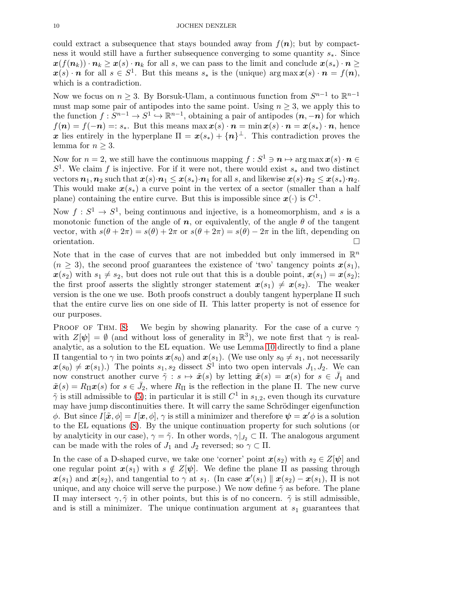could extract a subsequence that stays bounded away from  $f(n)$ ; but by compactness it would still have a further subsequence converging to some quantity s∗. Since  $x(f(n_k)) \cdot n_k \geq x(s) \cdot n_k$  for all s, we can pass to the limit and conclude  $x(s_*) \cdot n \geq$  $\mathbf{x}(s) \cdot \mathbf{n}$  for all  $s \in S^1$ . But this means  $s_*$  is the (unique) arg max  $\mathbf{x}(s) \cdot \mathbf{n} = f(\mathbf{n}),$ which is a contradiction.

Now we focus on  $n \geq 3$ . By Borsuk-Ulam, a continuous function from  $S^{n-1}$  to  $\mathbb{R}^{n-1}$ must map some pair of antipodes into the same point. Using  $n \geq 3$ , we apply this to the function  $f: S^{n-1} \to S^1 \to \mathbb{R}^{n-1}$ , obtaining a pair of antipodes  $(n, -n)$  for which  $f(n) = f(-n) =: s_*$ . But this means max  $x(s) \cdot n = \min x(s) \cdot n = x(s_*) \cdot n$ , hence x lies entirely in the hyperplane  $\Pi = x(s_*) + \{n\}^{\perp}$ . This contradiction proves the lemma for  $n \geq 3$ .

Now for  $n = 2$ , we still have the continuous mapping  $f : S^1 \ni n \mapsto \arg \max x(s) \cdot n \in \mathbb{R}$  $S<sup>1</sup>$ . We claim f is injective. For if it were not, there would exist  $s_*$  and two distinct vectors  $n_1, n_2$  such that  $x(s) \cdot n_1 \leq x(s_*) \cdot n_1$  for all s, and likewise  $x(s) \cdot n_2 \leq x(s_*) \cdot n_2$ . This would make  $x(s_*)$  a curve point in the vertex of a sector (smaller than a half plane) containing the entire curve. But this is impossible since  $x(\cdot)$  is  $C^1$ .

Now  $f: S^1 \to S^1$ , being continuous and injective, is a homeomorphism, and s is a monotonic function of the angle of  $n$ , or equivalently, of the angle  $\theta$  of the tangent vector, with  $s(\theta + 2\pi) = s(\theta) + 2\pi$  or  $s(\theta + 2\pi) = s(\theta) - 2\pi$  in the lift, depending on orientation. orientation.

Note that in the case of curves that are not imbedded but only immersed in  $\mathbb{R}^n$  $(n \geq 3)$ , the second proof guarantees the existence of 'two' tangency points  $x(s_1)$ ,  $\mathbf{x}(s_2)$  with  $s_1 \neq s_2$ , but does not rule out that this is a double point,  $\mathbf{x}(s_1) = \mathbf{x}(s_2);$ the first proof asserts the slightly stronger statement  $x(s_1) \neq x(s_2)$ . The weaker version is the one we use. Both proofs construct a doubly tangent hyperplane Π such that the entire curve lies on one side of Π. This latter property is not of essence for our purposes.

PROOF OF THM. [8:](#page-5-1) We begin by showing planarity. For the case of a curve  $\gamma$ with  $Z[\psi] = \emptyset$  (and without loss of generality in  $\mathbb{R}^3$ ), we note first that  $\gamma$  is realanalytic, as a solution to the EL equation. We use Lemma [10](#page-7-1) directly to find a plane II tangential to γ in two points  $x(s_0)$  and  $x(s_1)$ . (We use only  $s_0 ≠ s_1$ , not necessarily  $\mathbf{x}(s_0) \neq \mathbf{x}(s_1)$ .) The points  $s_1, s_2$  dissect  $S^1$  into two open intervals  $J_1, J_2$ . We can now construct another curve  $\tilde{\gamma}: s \mapsto \tilde{x}(s)$  by letting  $\tilde{x}(s) = x(s)$  for  $s \in \bar{J}_1$  and  $\tilde{\boldsymbol{x}}(s) = R_{\Pi} \boldsymbol{x}(s)$  for  $s \in \bar{J}_2$ , where  $R_{\Pi}$  is the reflection in the plane  $\Pi$ . The new curve  $\tilde{\gamma}$  is still admissible to [\(5\)](#page-3-2); in particular it is still  $C^1$  in  $s_{1,2}$ , even though its curvature may have jump discontinuities there. It will carry the same Schrödinger eigenfunction φ. But since  $I[\tilde{x}, \phi] = I[x, \phi], \gamma$  is still a minimizer and therefore  $\psi = x' \phi$  is a solution to the EL equations [\(8\)](#page-7-0). By the unique continuation property for such solutions (or by analyticity in our case),  $\gamma = \tilde{\gamma}$ . In other words,  $\gamma|_{J_2} \subset \Pi$ . The analogous argument can be made with the roles of  $J_1$  and  $J_2$  reversed; so  $\gamma \subset \Pi$ .

In the case of a D-shaped curve, we take one 'corner' point  $x(s_2)$  with  $s_2 \in Z[\psi]$  and one regular point  $x(s_1)$  with  $s \notin Z[\psi]$ . We define the plane  $\Pi$  as passing through  $\mathbf{x}(s_1)$  and  $\mathbf{x}(s_2)$ , and tangential to  $\gamma$  at  $s_1$ . (In case  $\mathbf{x}'(s_1) \parallel \mathbf{x}(s_2) - \mathbf{x}(s_1)$ , II is not unique, and any choice will serve the purpose.) We now define  $\tilde{\gamma}$  as before. The plane Π may intersect  $γ, \tildeγ$  in other points, but this is of no concern.  $\tildeγ$  is still admissible, and is still a minimizer. The unique continuation argument at  $s_1$  guarantees that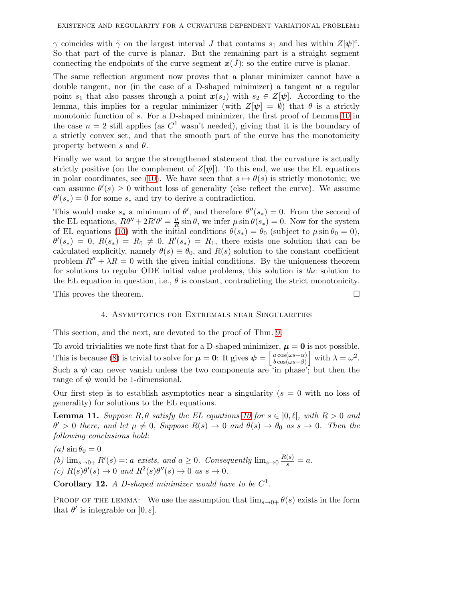$\gamma$  coincides with  $\tilde{\gamma}$  on the largest interval J that contains  $s_1$  and lies within  $Z[\psi]$ <sup>c</sup>. So that part of the curve is planar. But the remaining part is a straight segment connecting the endpoints of the curve segment  $x(J)$ ; so the entire curve is planar.

The same reflection argument now proves that a planar minimizer cannot have a double tangent, nor (in the case of a D-shaped minimizer) a tangent at a regular point  $s_1$  that also passes through a point  $\mathbf{x}(s_2)$  with  $s_2 \in Z[\psi]$ . According to the lemma, this implies for a regular minimizer (with  $Z[\psi] = \emptyset$ ) that  $\theta$  is a strictly monotonic function of s. For a D-shaped minimizer, the first proof of Lemma [10](#page-7-1) in the case  $n = 2$  still applies (as  $C<sup>1</sup>$  wasn't needed), giving that it is the boundary of a strictly convex set, and that the smooth part of the curve has the monotonicity property between s and  $\theta$ .

Finally we want to argue the strengthened statement that the curvature is actually strictly positive (on the complement of  $Z[\psi]$ ). To this end, we use the EL equations in polar coordinates, see [\(10\)](#page-7-2). We have seen that  $s \mapsto \theta(s)$  is strictly monotonic; we can assume  $\theta'(s) \geq 0$  without loss of generality (else reflect the curve). We assume  $\theta'(s_*) = 0$  for some  $s_*$  and try to derive a contradiction.

This would make  $s_*$  a minimum of  $\theta'$ , and therefore  $\theta''(s_*)=0$ . From the second of the EL equations,  $R\theta'' + 2R'\theta' = \frac{\mu}{R}$  $\frac{\mu}{R} \sin \theta$ , we infer  $\mu \sin \theta(s_*) = 0$ . Now for the system of EL equations [\(10\)](#page-7-2) with the initial conditions  $\theta(s_*) = \theta_0$  (subject to  $\mu \sin \theta_0 = 0$ ),  $\theta'(s_*) = 0, R(s_*) = R_0 \neq 0, R'(s_*) = R_1$ , there exists one solution that can be calculated explicitly, namely  $\theta(s) \equiv \theta_0$ , and  $R(s)$  solution to the constant coefficient problem  $R'' + \lambda R = 0$  with the given initial conditions. By the uniqueness theorem for solutions to regular ODE initial value problems, this solution is *the* solution to the EL equation in question, i.e.,  $\theta$  is constant, contradicting the strict monotonicity.

This proves the theorem.

### 4. Asymptotics for Extremals near Singularities

This section, and the next, are devoted to the proof of Thm. [9.](#page-5-2)

To avoid trivialities we note first that for a D-shaped minimizer,  $\mu = 0$  is not possible. This is because [\(8\)](#page-7-0) is trivial to solve for  $\mu = 0$ : It gives  $\psi = \begin{bmatrix} a \cos(\omega s - \alpha) \\ b \cos(\omega s - \beta) \end{bmatrix}$  $\left[\begin{array}{c} a\cos(\omega s-\alpha) \\ b\cos(\omega s-\beta) \end{array}\right]$  with  $\lambda=\omega^2$ . Such a  $\psi$  can never vanish unless the two components are  $\sin$  phase'; but then the range of  $\psi$  would be 1-dimensional.

Our first step is to establish asymptotics near a singularity  $(s = 0$  with no loss of generality) for solutions to the EL equations.

<span id="page-10-0"></span>**Lemma 11.** *Suppose*  $R, \theta$  *satisfy the EL equations* [10](#page-7-2) for  $s \in [0, \ell],$  with  $R > 0$  and  $\theta' > 0$  there, and let  $\mu \neq 0$ , Suppose  $R(s) \to 0$  and  $\theta(s) \to \theta_0$  as  $s \to 0$ . Then the *following conclusions hold:*

 $(a)$  sin  $\theta_0 = 0$ (b)  $\lim_{s\to 0+} R'(s) =: a \text{ exists, and } a \geq 0.$  Consequently  $\lim_{s\to 0} \frac{R(s)}{s} = a$ .  $(c) R(s) \theta'(s) \rightarrow 0 \text{ and } R^2(s) \theta''(s) \rightarrow 0 \text{ as } s \rightarrow 0.$ 

**Corollary 12.** A D-shaped minimizer would have to be  $C^1$ .

PROOF OF THE LEMMA: We use the assumption that  $\lim_{s\to 0^+} \theta(s)$  exists in the form that  $\theta'$  is integrable on  $[0, \varepsilon]$ .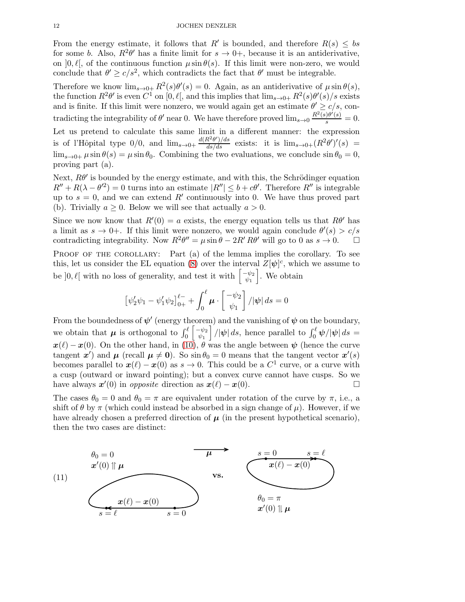From the energy estimate, it follows that R' is bounded, and therefore  $R(s) \leq bs$ for some b. Also,  $R^2\theta'$  has a finite limit for  $s \to 0^+$ , because it is an antiderivative, on  $[0, \ell]$ , of the continuous function  $\mu \sin \theta(s)$ . If this limit were non-zero, we would conclude that  $\theta' \geq c/s^2$ , which contradicts the fact that  $\theta'$  must be integrable.

Therefore we know  $\lim_{s\to 0+} R^2(s)\theta'(s) = 0$ . Again, as an antiderivative of  $\mu \sin \theta(s)$ , the function  $R^2\theta'$  is even  $C^1$  on  $[0, \ell],$  and this implies that  $\lim_{s\to 0+} R^2(s)\theta'(s)/s$  exists and is finite. If this limit were nonzero, we would again get an estimate  $\theta' \geq c/s$ , contradicting the integrability of  $\theta'$  near 0. We have therefore proved  $\lim_{s\to 0} \frac{R^2(s)\theta'(s)}{s} = 0$ .

Let us pretend to calculate this same limit in a different manner: the expression is of l'Hôpital type  $0/0$ , and  $\lim_{s\to 0^+} \frac{d(R^2\theta')/ds}{ds/ds}$  exists: it is  $\lim_{s\to 0^+} (R^2\theta')'(s)$  =  $\lim_{s\to 0+} \mu \sin \theta(s) = \mu \sin \theta_0$ . Combining the two evaluations, we conclude  $\sin \theta_0 = 0$ , proving part (a).

Next,  $R\theta'$  is bounded by the energy estimate, and with this, the Schrödinger equation  $R'' + R(\lambda - \theta'^2) = 0$  turns into an estimate  $|R''| \leq b + c\theta'$ . Therefore  $R''$  is integrable up to  $s = 0$ , and we can extend R' continuously into 0. We have thus proved part (b). Trivially  $a \geq 0$ . Below we will see that actually  $a > 0$ .

Since we now know that  $R'(0) = a$  exists, the energy equation tells us that  $R\theta'$  has a limit as  $s \to 0^+$ . If this limit were nonzero, we would again conclude  $\theta'(s) > c/s$ contradicting integrability. Now  $R^2\theta'' = \mu \sin \theta - 2R'R\theta'$  will go to 0 as  $s \to 0$ .  $\Box$ 

PROOF OF THE COROLLARY: Part (a) of the lemma implies the corollary. To see this, let us consider the EL equation [\(8\)](#page-7-0) over the interval  $Z[\psi]$ <sup>c</sup>, which we assume to be  $]0, \ell[$  with no loss of generality, and test it with  $\begin{bmatrix} -\psi_2 \\ \psi_1 \end{bmatrix}$  $\begin{bmatrix} \psi_2 \\ \psi_1 \end{bmatrix}$ . We obtain

$$
\left[\psi_2'\psi_1 - \psi_1'\psi_2\right]_{0+}^{\ell-} + \int_0^{\ell} \mu \cdot \left[\begin{array}{c} -\psi_2 \\ \psi_1 \end{array}\right] / |\psi| ds = 0
$$

From the boundedness of  $\psi'$  (energy theorem) and the vanishing of  $\psi$  on the boundary, we obtain that  $\mu$  is orthogonal to  $\int_0^{\ell} \begin{bmatrix} -\psi_2 \\ \psi_1 \end{bmatrix}$  $\begin{aligned} \left[ \begin{array}{c} -\psi_2 \\ \psi_1 \end{array} \right] /|\psi| \, ds, \text{ hence parallel to } \int_0^{\ell} \psi /|\psi| \, ds =0 \end{aligned}$  $\mathbf{x}(\ell) - \mathbf{x}(0)$ . On the other hand, in [\(10\)](#page-7-2),  $\theta$  was the angle between  $\psi$  (hence the curve tangent x') and  $\mu$  (recall  $\mu \neq 0$ ). So  $\sin \theta_0 = 0$  means that the tangent vector  $x'(s)$ becomes parallel to  $x(\ell) - x(0)$  as  $s \to 0$ . This could be a  $C^1$  curve, or a curve with a cusp (outward or inward pointing); but a convex curve cannot have cusps. So we have always  $\mathbf{x}'(0)$  in *opposite* direction as  $\mathbf{x}(\ell) - \mathbf{x}(0)$ .

The cases  $\theta_0 = 0$  and  $\theta_0 = \pi$  are equivalent under rotation of the curve by  $\pi$ , i.e., a shift of  $\theta$  by  $\pi$  (which could instead be absorbed in a sign change of  $\mu$ ). However, if we have already chosen a preferred direction of  $\mu$  (in the present hypothetical scenario), then the two cases are distinct:

<span id="page-11-0"></span>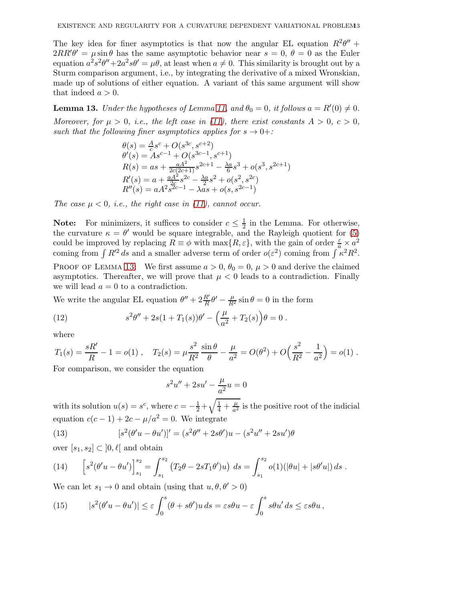The key idea for finer asymptotics is that now the angular EL equation  $R^2\theta''$  +  $2RR'\theta' = \mu \sin \theta$  has the same asymptotic behavior near  $s = 0, \theta = 0$  as the Euler equation  $a^2 s^2 \theta'' + 2a^2 s \theta' = \mu \theta$ , at least when  $a \neq 0$ . This similarity is brought out by a Sturm comparison argument, i.e., by integrating the derivative of a mixed Wronskian, made up of solutions of either equation. A variant of this same argument will show that indeed  $a > 0$ .

<span id="page-12-0"></span>**Lemma 13.** *Under the hypotheses of Lemma [11,](#page-10-0) and*  $\theta_0 = 0$ *, it follows*  $a = R'(0) \neq 0$ *.* 

*Moreover, for*  $\mu > 0$ *, i.e., the left case in [\(11\)](#page-11-0), there exist constants*  $A > 0$ *, c > 0, such that the following finer asymptotics applies for*  $s \rightarrow 0+$ :

$$
\theta(s) = \frac{A}{c}s^{c} + O(s^{3c}, s^{c+2})
$$
  
\n
$$
\theta'(s) = As^{c-1} + O(s^{3c-1}, s^{c+1})
$$
  
\n
$$
R(s) = as + \frac{aA^{2}}{2c(2c+1)}s^{2c+1} - \frac{\lambda a}{6}s^{3} + o(s^{3}, s^{2c+1})
$$
  
\n
$$
R'(s) = a + \frac{aA^{2}}{2c}s^{2c} - \frac{\lambda a}{2}s^{2} + o(s^{2}, s^{2c})
$$
  
\n
$$
R''(s) = aA^{2}s^{2c-1} - \lambda as + o(s, s^{2c-1})
$$

*The case*  $\mu < 0$ *, i.e., the right case in [\(11\)](#page-11-0), cannot occur.* 

**Note:** For minimizers, it suffices to consider  $c \leq \frac{1}{2}$  in the Lemma. For otherwise, the curvature  $\kappa = \theta'$  would be square integrable, and the Rayleigh quotient for [\(5\)](#page-3-2) could be improved by replacing  $R \equiv \phi$  with max $\{R, \varepsilon\}$ , with the gain of order  $\frac{\varepsilon}{a} \times a^2$ coming from  $\int R'^2 ds$  and a smaller adverse term of order  $o(\varepsilon^2)$  coming from  $\int \kappa^2 R^2$ .

PROOF OF LEMMA [13:](#page-12-0) We first assume  $a > 0$ ,  $\theta_0 = 0$ ,  $\mu > 0$  and derive the claimed asymptotics. Thereafter, we will prove that  $\mu < 0$  leads to a contradiction. Finally we will lead  $a = 0$  to a contradiction.

We write the angular EL equation  $\theta'' + 2\frac{R'}{R}\theta' - \frac{\mu}{R^2}\sin\theta = 0$  in the form

<span id="page-12-1"></span>(12) 
$$
s^{2}\theta'' + 2s(1+T_{1}(s))\theta' - \left(\frac{\mu}{a^{2}} + T_{2}(s)\right)\theta = 0.
$$

where

$$
T_1(s) = \frac{sR'}{R} - 1 = o(1) , \quad T_2(s) = \mu \frac{s^2}{R^2} \frac{\sin \theta}{\theta} - \frac{\mu}{a^2} = O(\theta^2) + O\left(\frac{s^2}{R^2} - \frac{1}{a^2}\right) = o(1) .
$$

For comparison, we consider the equation

$$
s^2u'' + 2su' - \frac{\mu}{a^2}u = 0
$$

with its solution  $u(s) = s^c$ , where  $c = -\frac{1}{2} + \sqrt{\frac{1}{4} + \frac{\mu}{a^2}}$  $\frac{\mu}{a^2}$  is the positive root of the indicial equation  $c(c-1) + 2c - \mu/a^2 = 0$ . We integrate

(13) 
$$
[s^{2}(\theta'u - \theta u')]' = (s^{2}\theta'' + 2s\theta')u - (s^{2}u'' + 2su')\theta
$$

over  $[s_1, s_2] \subset [0, \ell]$  and obtain

<span id="page-12-2"></span>(14) 
$$
\[s^2(\theta'u - \theta u')\]_{s_1}^{s_2} = \int_{s_1}^{s_2} (T_2\theta - 2sT_1\theta')u\} ds = \int_{s_1}^{s_2} o(1)(|\theta u| + |s\theta'u|) ds.
$$

We can let  $s_1 \to 0$  and obtain (using that  $u, \theta, \theta' > 0$ )

<span id="page-12-3"></span>(15) 
$$
|s^2(\theta'u - \theta u')| \leq \varepsilon \int_0^s (\theta + s\theta')u \, ds = \varepsilon s\theta u - \varepsilon \int_0^s s\theta u' \, ds \leq \varepsilon s\theta u,
$$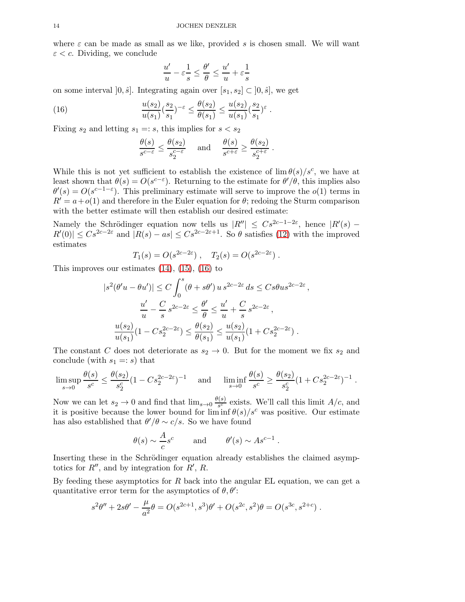where  $\varepsilon$  can be made as small as we like, provided s is chosen small. We will want  $\varepsilon < c$ . Dividing, we conclude

$$
\frac{u'}{u}-\varepsilon\frac{1}{s}\leq \frac{\theta'}{\theta}\leq \frac{u'}{u}+\varepsilon\frac{1}{s}
$$

.

on some interval  $[0, \hat{s}]$ . Integrating again over  $[s_1, s_2] \subset [0, \hat{s}]$ , we get

(16) 
$$
\frac{u(s_2)}{u(s_1)} \left(\frac{s_2}{s_1}\right)^{-\varepsilon} \le \frac{\theta(s_2)}{\theta(s_1)} \le \frac{u(s_2)}{u(s_1)} \left(\frac{s_2}{s_1}\right)^{\varepsilon}
$$

Fixing  $s_2$  and letting  $s_1 =: s$ , this implies for  $s < s_2$ 

<span id="page-13-0"></span>
$$
\frac{\theta(s)}{s^{c-\varepsilon}} \le \frac{\theta(s_2)}{s_2^{c-\varepsilon}} \quad \text{and} \quad \frac{\theta(s)}{s^{c+\varepsilon}} \ge \frac{\theta(s_2)}{s_2^{c+\varepsilon}}.
$$

While this is not yet sufficient to establish the existence of  $\lim_{s \to \infty} \theta(s)/s^c$ , we have at least shown that  $\theta(s) = O(s^{c-\epsilon})$ . Returning to the estimate for  $\theta'/\theta$ , this implies also  $\theta'(s) = O(s^{c-1-\epsilon})$ . This preliminary estimate will serve to improve the  $o(1)$  terms in  $R' = a + o(1)$  and therefore in the Euler equation for  $\theta$ ; redoing the Sturm comparison with the better estimate will then establish our desired estimate:

Namely the Schrödinger equation now tells us  $|R''| \leq Cs^{2c-1-2\varepsilon}$ , hence  $|R'(s) R'(0) \leq Cs^{2c-2\varepsilon}$  and  $|R(s) - as| \leq Cs^{2c-2\varepsilon+1}$ . So  $\theta$  satisfies [\(12\)](#page-12-1) with the improved estimates

$$
T_1(s) = O(s^{2c-2\varepsilon}), \quad T_2(s) = O(s^{2c-2\varepsilon}).
$$

This improves our estimates  $(14)$ ,  $(15)$ ,  $(16)$  to

$$
|s^{2}(\theta'u - \theta u')| \leq C \int_{0}^{s} (\theta + s\theta') u s^{2c - 2\varepsilon} ds \leq C s \theta u s^{2c - 2\varepsilon},
$$
  

$$
\frac{u'}{u} - \frac{C}{s} s^{2c - 2\varepsilon} \leq \frac{\theta'}{\theta} \leq \frac{u'}{u} + \frac{C}{s} s^{2c - 2\varepsilon},
$$
  

$$
\frac{u(s_{2})}{u(s_{1})} (1 - C s_{2}^{2c - 2\varepsilon}) \leq \frac{\theta(s_{2})}{\theta(s_{1})} \leq \frac{u(s_{2})}{u(s_{1})} (1 + C s_{2}^{2c - 2\varepsilon}).
$$

The constant C does not deteriorate as  $s_2 \to 0$ . But for the moment we fix  $s_2$  and conclude (with  $s_1 =: s$ ) that

$$
\limsup_{s \to 0} \frac{\theta(s)}{s^c} \le \frac{\theta(s_2)}{s_2^c} (1 - Cs_2^{2c - 2\varepsilon})^{-1} \quad \text{and} \quad \liminf_{s \to 0} \frac{\theta(s)}{s^c} \ge \frac{\theta(s_2)}{s_2^c} (1 + Cs_2^{2c - 2\varepsilon})^{-1}.
$$

Now we can let  $s_2 \to 0$  and find that  $\lim_{s \to 0} \frac{\theta(s)}{s^c}$  $\frac{S(S)}{S^c}$  exists. We'll call this limit  $A/c$ , and it is positive because the lower bound for  $\liminf \theta(s)/s^c$  was positive. Our estimate has also established that  $\theta'/\theta \sim c/s$ . So we have found

$$
\theta(s) \sim \frac{A}{c} s^c
$$
 and  $\theta'(s) \sim A s^{c-1}$ .

Inserting these in the Schrödinger equation already establishes the claimed asymptotics for  $R''$ , and by integration for  $R'$ ,  $R$ .

By feeding these asymptotics for  $R$  back into the angular EL equation, we can get a quantitative error term for the asymptotics of  $\theta$ ,  $\theta'$ :

$$
s^{2}\theta'' + 2s\theta' - \frac{\mu}{a^{2}}\theta = O(s^{2c+1}, s^{3})\theta' + O(s^{2c}, s^{2})\theta = O(s^{3c}, s^{2+c}).
$$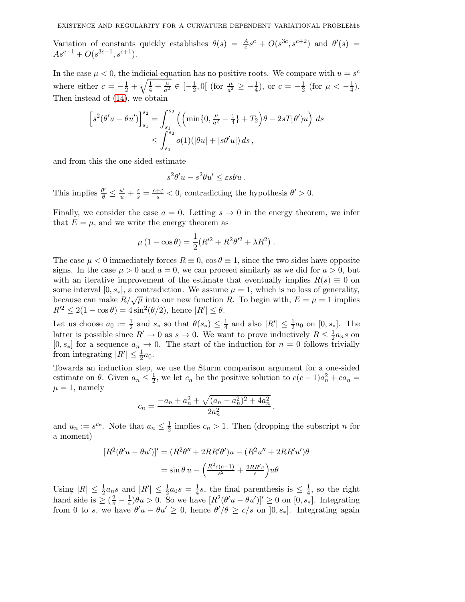Variation of constants quickly establishes  $\theta(s) = \frac{A}{c} s^c + O(s^{3c}, s^{c+2})$  and  $\theta'(s) =$  $As^{c-1} + O(s^{3c-1}, s^{c+1}).$ 

In the case  $\mu < 0$ , the indicial equation has no positive roots. We compare with  $u = s^c$ where either  $c = -\frac{1}{2} + \sqrt{\frac{1}{4} + \frac{\mu}{a^2}}$  $\frac{\mu}{a^2} \in \left[-\frac{1}{2}, 0\right]$  (for  $\frac{\mu}{a^2} \ge -\frac{1}{4}$ ), or  $c = -\frac{1}{2}$  (for  $\mu < -\frac{1}{4}$ ). Then instead of [\(14\)](#page-12-2), we obtain

$$
\[s^2(\theta'u - \theta u')\]_{s_1}^{s_2} = \int_{s_1}^{s_2} \left( \left(\min\{0, \frac{\mu}{a^2} - \frac{1}{4}\} + T_2\right)\theta - 2sT_1\theta'\right)u\right) ds
$$
  

$$
\leq \int_{s_1}^{s_2} o(1)(|\theta u| + |s\theta'u|) ds,
$$

and from this the one-sided estimate

$$
s^2\theta'u - s^2\theta u' \leq \varepsilon s\theta u.
$$

This implies  $\frac{\theta'}{\theta}$  $\frac{\theta'}{\theta} \leq \frac{u'}{u} + \frac{\varepsilon}{s} = \frac{c+\varepsilon}{s} < 0$ , contradicting the hypothesis  $\theta' > 0$ .

Finally, we consider the case  $a = 0$ . Letting  $s \to 0$  in the energy theorem, we infer that  $E = \mu$ , and we write the energy theorem as

$$
\mu (1 - \cos \theta) = \frac{1}{2} (R'^2 + R^2 \theta'^2 + \lambda R^2) .
$$

The case  $\mu < 0$  immediately forces  $R \equiv 0$ ,  $\cos \theta \equiv 1$ , since the two sides have opposite signs. In the case  $\mu > 0$  and  $a = 0$ , we can proceed similarly as we did for  $a > 0$ , but with an iterative improvement of the estimate that eventually implies  $R(s) \equiv 0$  on some interval [0,  $s_*$ ], a contradiction. We assume  $\mu = 1$ , which is no loss of generality, because can make  $R/\sqrt{\mu}$  into our new function R. To begin with,  $E = \mu = 1$  implies  $R'^{2} \leq 2(1 - \cos \theta) = 4 \sin^{2}(\theta/2)$ , hence  $|R'| \leq \theta$ .

Let us choose  $a_0 := \frac{1}{2}$  and  $s_*$  so that  $\theta(s_*) \leq \frac{1}{4}$  $\frac{1}{4}$  and also  $|R'| \leq \frac{1}{2}a_0$  on  $[0, s_*]$ . The latter is possible since  $R' \to 0$  as  $s \to 0$ . We want to prove inductively  $R \leq \frac{1}{2} a_n s$  on  $[0, s_*]$  for a sequence  $a_n \to 0$ . The start of the induction for  $n = 0$  follows trivially from integrating  $|R'| \leq \frac{1}{2}a_0$ .

Towards an induction step, we use the Sturm comparison argument for a one-sided estimate on  $\theta$ . Given  $a_n \leq \frac{1}{2}$  $\frac{1}{2}$ , we let  $c_n$  be the positive solution to  $c(c-1)a_n^2 + ca_n =$  $\mu = 1$ , namely

$$
c_n = \frac{-a_n + a_n^2 + \sqrt{(a_n - a_n^2)^2 + 4a_n^2}}{2a_n^2}
$$

,

and  $u_n := s^{c_n}$ . Note that  $a_n \leq \frac{1}{2}$  $\frac{1}{2}$  implies  $c_n > 1$ . Then (dropping the subscript *n* for a moment)

$$
[R^2(\theta'u - \theta u')]' = (R^2\theta'' + 2RR'\theta')u - (R^2u'' + 2RR'u')\theta
$$

$$
= \sin\theta u - \left(\frac{R^2c(c-1)}{s^2} + \frac{2RR'c}{s}\right)u\theta
$$

Using  $|R| \leq \frac{1}{2} a_n s$  and  $|R'| \leq \frac{1}{2} a_0 s = \frac{1}{4}$  $\frac{1}{4}s$ , the final parenthesis is  $\leq \frac{1}{4}$  $\frac{1}{4}$ , so the right hand side is  $\geq (\frac{2}{\pi} - \frac{1}{4})$  $\frac{1}{4}$ ) $\theta u > 0$ . So we have  $[R^2(\theta' u - \theta u')] \geq 0$  on  $[0, s_*]$ . Integrating from 0 to s, we have  $\theta' u - \theta u' \geq 0$ , hence  $\theta'/\theta \geq c/s$  on  $]0, s_*]$ . Integrating again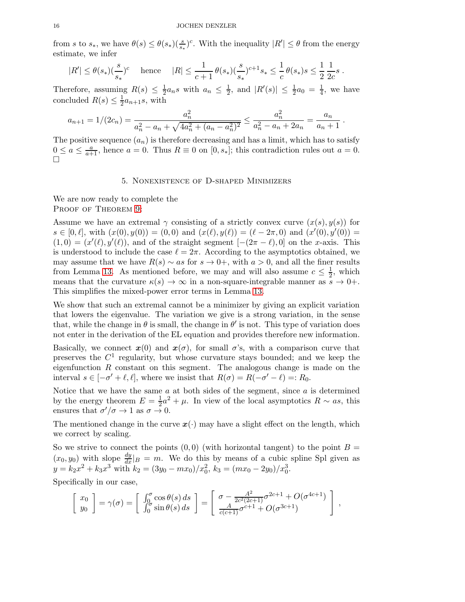from s to  $s_*$ , we have  $\theta(s) \leq \theta(s_*)\left(\frac{s}{s_*}\right)^c$ . With the inequality  $|R'| \leq \theta$  from the energy estimate, we infer

$$
|R'| \leq \theta(s_*)(\frac{s}{s_*})^c
$$
 hence  $|R| \leq \frac{1}{c+1} \theta(s_*)(\frac{s}{s_*})^{c+1} s_* \leq \frac{1}{c} \theta(s_*) s \leq \frac{1}{2} \frac{1}{2c} s$ .

Therefore, assuming  $R(s) \leq \frac{1}{2}$  $\frac{1}{2}a_n s$  with  $a_n \leq \frac{1}{2}$  $\frac{1}{2}$ , and  $|R'(s)| \leq \frac{1}{2}a_0 = \frac{1}{4}$  $\frac{1}{4}$ , we have concluded  $R(s) \leq \frac{1}{2}$  $\frac{1}{2}a_{n+1}s$ , with

$$
a_{n+1} = 1/(2c_n) = \frac{a_n^2}{a_n^2 - a_n + \sqrt{4a_n^2 + (a_n - a_n^2)^2}} \le \frac{a_n^2}{a_n^2 - a_n + 2a_n} = \frac{a_n}{a_n + 1}.
$$

<span id="page-15-0"></span>The positive sequence  $(a_n)$  is therefore decreasing and has a limit, which has to satisfy  $0 \le a \le \frac{a}{a+1}$ , hence  $a = 0$ . Thus  $R \equiv 0$  on  $[0, s_*]$ ; this contradiction rules out  $a = 0$ .  $\Box$ 

## 5. Nonexistence of D-shaped Minimizers

We are now ready to complete the PROOF OF THEOREM [9:](#page-5-2)

Assume we have an extremal  $\gamma$  consisting of a strictly convex curve  $(x(s), y(s))$  for  $s \in [0, \ell],$  with  $(x(0), y(0)) = (0, 0)$  and  $(x(\ell), y(\ell)) = (\ell - 2\pi, 0)$  and  $(x'(0), y'(0)) =$  $(1,0) = (x'(\ell), y'(\ell))$ , and of the straight segment  $[-(2\pi - \ell), 0]$  on the x-axis. This is understood to include the case  $\ell = 2\pi$ . According to the asymptotics obtained, we may assume that we have  $R(s) \sim as$  for  $s \to 0^+$ , with  $a > 0$ , and all the finer results from Lemma [13.](#page-12-0) As mentioned before, we may and will also assume  $c \leq \frac{1}{2}$ , which means that the curvature  $\kappa(s) \to \infty$  in a non-square-integrable manner as  $s \to 0+$ . This simplifies the mixed-power error terms in Lemma [13.](#page-12-0)

We show that such an extremal cannot be a minimizer by giving an explicit variation that lowers the eigenvalue. The variation we give is a strong variation, in the sense that, while the change in  $\theta$  is small, the change in  $\theta'$  is not. This type of variation does not enter in the derivation of the EL equation and provides therefore new information.

Basically, we connect  $x(0)$  and  $x(\sigma)$ , for small  $\sigma$ 's, with a comparison curve that preserves the  $C<sup>1</sup>$  regularity, but whose curvature stays bounded; and we keep the eigenfunction  $R$  constant on this segment. The analogous change is made on the interval  $s \in [-\sigma' + \ell, \ell]$ , where we insist that  $R(\sigma) = R(-\sigma' - \ell) =: R_0$ .

Notice that we have the same  $a$  at both sides of the segment, since  $a$  is determined by the energy theorem  $E = \frac{1}{2}$  $\frac{1}{2}a^2 + \mu$ . In view of the local asymptotics  $R \sim as$ , this ensures that  $\sigma'/\sigma \to 1$  as  $\sigma \to 0$ .

The mentioned change in the curve  $x(\cdot)$  may have a slight effect on the length, which we correct by scaling.

So we strive to connect the points  $(0,0)$  (with horizontal tangent) to the point  $B =$  $(x_0, y_0)$  with slope  $\frac{dy}{dx}|_B = m$ . We do this by means of a cubic spline Spl given as  $y = k_2 x^2 + k_3 x^3$  with  $k_2 = (3y_0 - mx_0)/x_0^2$ ,  $k_3 = (mx_0 - 2y_0)/x_0^3$ .

Specifically in our case,

$$
\begin{bmatrix} x_0 \\ y_0 \end{bmatrix} = \gamma(\sigma) = \begin{bmatrix} \int_0^{\sigma} \cos \theta(s) ds \\ \int_0^{\sigma} \sin \theta(s) ds \end{bmatrix} = \begin{bmatrix} \sigma - \frac{A^2}{2c^2(2c+1)} \sigma^{2c+1} + O(\sigma^{4c+1}) \\ \frac{A}{c(c+1)} \sigma^{c+1} + O(\sigma^{3c+1}) \end{bmatrix},
$$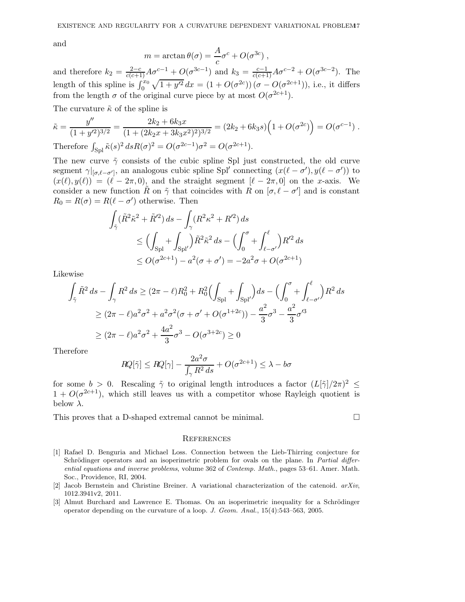and

$$
m = \arctan \theta(\sigma) = \frac{A}{c} \sigma^c + O(\sigma^{3c}),
$$

and therefore  $k_2 = \frac{2-c}{c(c+1)}A\sigma^{c-1} + O(\sigma^{3c-1})$  and  $k_3 = \frac{c-1}{c(c+1)}A\sigma^{c-2} + O(\sigma^{3c-2})$ . The length of this spline is  $\int_0^{x_0} \sqrt{1 + y'^2} dx = (1 + O(\sigma^{2c})) (\sigma - O(\sigma^{2c+1}))$ , i.e., it differs from the length  $\sigma$  of the original curve piece by at most  $O(\sigma^{2c+1})$ .

The curvature  $\tilde{\kappa}$  of the spline is

$$
\tilde{\kappa} = \frac{y''}{(1+y'^2)^{3/2}} = \frac{2k_2 + 6k_3x}{(1+(2k_2x+3k_3x^2)^2)^{3/2}} = (2k_2+6k_3s)\left(1+O(\sigma^{2c})\right) = O(\sigma^{c-1}).
$$
  
Therefore  $\int_{\text{Spl}} \tilde{\kappa}(s)^2 ds R(\sigma)^2 = O(\sigma^{2c-1})\sigma^2 = O(\sigma^{2c+1}).$ 

The new curve  $\tilde{\gamma}$  consists of the cubic spline Spl just constructed, the old curve segment  $\gamma|_{[\sigma,\ell-\sigma']}$ , an analogous cubic spline Spl' connecting  $(x(\ell-\sigma'),y(\ell-\sigma'))$  to  $(x(\ell), y(\ell)) = (\ell - 2\pi, 0)$ , and the straight segment  $[\ell - 2\pi, 0]$  on the x-axis. We consider a new function  $\tilde{R}$  on  $\tilde{\gamma}$  that coincides with  $R$  on  $[\sigma, \ell - \sigma']$  and is constant  $R_0 = R(\sigma) = R(\ell - \sigma')$  otherwise. Then

$$
\int_{\tilde{\gamma}} (\tilde{R}^2 \tilde{\kappa}^2 + \tilde{R}'^2) ds - \int_{\gamma} (R^2 \kappa^2 + R'^2) ds
$$
  
\n
$$
\leq \left( \int_{\text{Spl}} + \int_{\text{Spl}'} \right) \tilde{R}^2 \tilde{\kappa}^2 ds - \left( \int_0^{\sigma} + \int_{\ell - \sigma'}^{\ell} \right) R'^2 ds
$$
  
\n
$$
\leq O(\sigma^{2c+1}) - a^2 (\sigma + \sigma') = -2a^2 \sigma + O(\sigma^{2c+1})
$$

Likewise

$$
\int_{\tilde{\gamma}} \tilde{R}^2 ds - \int_{\gamma} R^2 ds \ge (2\pi - \ell)R_0^2 + R_0^2 \Big(\int_{\text{Spl}} + \int_{\text{Spl}} \Big) ds - \Big(\int_0^{\sigma} + \int_{\ell - \sigma'}^{\ell} \Big)R^2 ds
$$
  
\n
$$
\ge (2\pi - \ell)a^2 \sigma^2 + a^2 \sigma^2 (\sigma + \sigma' + O(\sigma^{1+2c})) - \frac{a^2}{3} \sigma^3 - \frac{a^2}{3} \sigma'^3
$$
  
\n
$$
\ge (2\pi - \ell)a^2 \sigma^2 + \frac{4a^2}{3} \sigma^3 - O(\sigma^{3+2c}) \ge 0
$$

Therefore

$$
RQ[\tilde{\gamma}] \le RQ[\gamma] - \frac{2a^2\sigma}{\int_{\gamma} R^2 ds} + O(\sigma^{2c+1}) \le \lambda - b\sigma
$$

for some  $b > 0$ . Rescaling  $\tilde{\gamma}$  to original length introduces a factor  $(L[\tilde{\gamma}]/2\pi)^2 \le$  $1 + O(\sigma^{2c+1})$ , which still leaves us with a competitor whose Rayleigh quotient is below  $\lambda$ .

This proves that a D-shaped extremal cannot be minimal.

### **REFERENCES**

- <span id="page-16-1"></span>[1] Rafael D. Benguria and Michael Loss. Connection between the Lieb-Thirring conjecture for Schrödinger operators and an isoperimetric problem for ovals on the plane. In Partial differential equations and inverse problems, volume 362 of Contemp. Math., pages 53–61. Amer. Math. Soc., Providence, RI, 2004.
- <span id="page-16-2"></span>[2] Jacob Bernstein and Christine Breiner. A variational characterization of the catenoid. arXiv, 1012.3941v2, 2011.
- <span id="page-16-0"></span>[3] Almut Burchard and Lawrence E. Thomas. On an isoperimetric inequality for a Schrödinger operator depending on the curvature of a loop. J. Geom. Anal., 15(4):543–563, 2005.